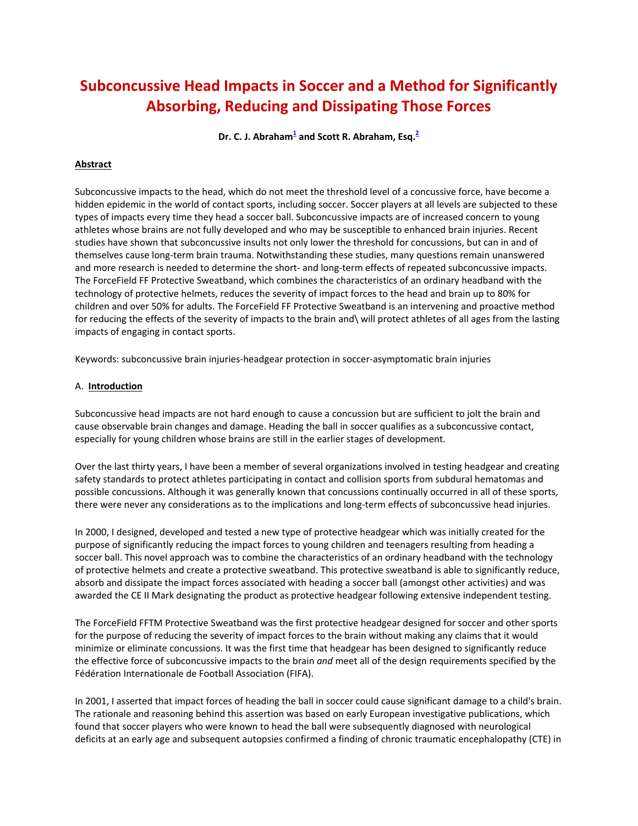# **Subconcussive Head Impacts in Soccer and a Method for Significantly Absorbing, Reducing and Dissipating Those Forces**

**Dr. C. J. Abraham<sup>1</sup> and Scott R. Abraham, Esq.<sup>2</sup>**

### **Abstract**

Subconcussive impacts to the head, which do not meet the threshold level of a concussive force, have become a hidden epidemic in the world of contact sports, including soccer. Soccer players at all levels are subjected to these types of impacts every time they head a soccer ball. Subconcussive impacts are of increased concern to young athletes whose brains are not fully developed and who may be susceptible to enhanced brain injuries. Recent studies have shown that subconcussive insults not only lower the threshold for concussions, but can in and of themselves cause long‐term brain trauma. Notwithstanding these studies, many questions remain unanswered and more research is needed to determine the short‐ and long‐term effects of repeated subconcussive impacts. The ForceField FF Protective Sweatband, which combines the characteristics of an ordinary headband with the technology of protective helmets, reduces the severity of impact forces to the head and brain up to 80% for children and over 50% for adults. The ForceField FF Protective Sweatband is an intervening and proactive method for reducing the effects of the severity of impacts to the brain and\ will protect athletes of all ages from the lasting impacts of engaging in contact sports.

Keywords: subconcussive brain injuries‐headgear protection in soccer‐asymptomatic brain injuries

#### A. **Introduction**

Subconcussive head impacts are not hard enough to cause a concussion but are sufficient to jolt the brain and cause observable brain changes and damage. Heading the ball in soccer qualifies as a subconcussive contact, especially for young children whose brains are still in the earlier stages of development.

Over the last thirty years, I have been a member of several organizations involved in testing headgear and creating safety standards to protect athletes participating in contact and collision sports from subdural hematomas and possible concussions. Although it was generally known that concussions continually occurred in all of these sports, there were never any considerations as to the implications and long-term effects of subconcussive head injuries.

In 2000, I designed, developed and tested a new type of protective headgear which was initially created for the purpose of significantly reducing the impact forces to young children and teenagers resulting from heading a soccer ball. This novel approach was to combine the characteristics of an ordinary headband with the technology of protective helmets and create a protective sweatband. This protective sweatband is able to significantly reduce, absorb and dissipate the impact forces associated with heading a soccer ball (amongst other activities) and was awarded the CE II Mark designating the product as protective headgear following extensive independent testing.

The ForceField FFTM Protective Sweatband was the first protective headgear designed for soccer and other sports for the purpose of reducing the severity of impact forces to the brain without making any claims that it would minimize or eliminate concussions. It was the first time that headgear has been designed to significantly reduce the effective force of subconcussive impacts to the brain *and* meet all of the design requirements specified by the Fédération Internationale de Football Association (FIFA).

In 2001, I asserted that impact forces of heading the ball in soccer could cause significant damage to a child's brain. The rationale and reasoning behind this assertion was based on early European investigative publications, which found that soccer players who were known to head the ball were subsequently diagnosed with neurological deficits at an early age and subsequent autopsies confirmed a finding of chronic traumatic encephalopathy (CTE) in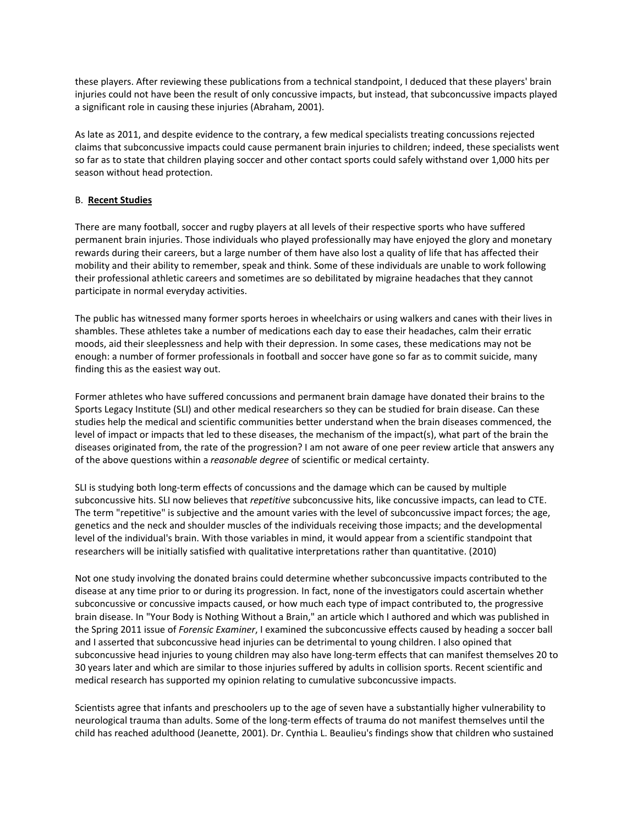these players. After reviewing these publications from a technical standpoint, I deduced that these players' brain injuries could not have been the result of only concussive impacts, but instead, that subconcussive impacts played a significant role in causing these injuries (Abraham, 2001).

As late as 2011, and despite evidence to the contrary, a few medical specialists treating concussions rejected claims that subconcussive impacts could cause permanent brain injuries to children; indeed, these specialists went so far as to state that children playing soccer and other contact sports could safely withstand over 1,000 hits per season without head protection.

#### B. **Recent Studies**

There are many football, soccer and rugby players at all levels of their respective sports who have suffered permanent brain injuries. Those individuals who played professionally may have enjoyed the glory and monetary rewards during their careers, but a large number of them have also lost a quality of life that has affected their mobility and their ability to remember, speak and think. Some of these individuals are unable to work following their professional athletic careers and sometimes are so debilitated by migraine headaches that they cannot participate in normal everyday activities.

The public has witnessed many former sports heroes in wheelchairs or using walkers and canes with their lives in shambles. These athletes take a number of medications each day to ease their headaches, calm their erratic moods, aid their sleeplessness and help with their depression. In some cases, these medications may not be enough: a number of former professionals in football and soccer have gone so far as to commit suicide, many finding this as the easiest way out.

Former athletes who have suffered concussions and permanent brain damage have donated their brains to the Sports Legacy Institute (SLI) and other medical researchers so they can be studied for brain disease. Can these studies help the medical and scientific communities better understand when the brain diseases commenced, the level of impact or impacts that led to these diseases, the mechanism of the impact(s), what part of the brain the diseases originated from, the rate of the progression? I am not aware of one peer review article that answers any of the above questions within a *reasonable degree* of scientific or medical certainty.

SLI is studying both long‐term effects of concussions and the damage which can be caused by multiple subconcussive hits. SLI now believes that *repetitive* subconcussive hits, like concussive impacts, can lead to CTE. The term "repetitive" is subjective and the amount varies with the level of subconcussive impact forces; the age, genetics and the neck and shoulder muscles of the individuals receiving those impacts; and the developmental level of the individual's brain. With those variables in mind, it would appear from a scientific standpoint that researchers will be initially satisfied with qualitative interpretations rather than quantitative. (2010)

Not one study involving the donated brains could determine whether subconcussive impacts contributed to the disease at any time prior to or during its progression. In fact, none of the investigators could ascertain whether subconcussive or concussive impacts caused, or how much each type of impact contributed to, the progressive brain disease. In "Your Body is Nothing Without a Brain," an article which I authored and which was published in the Spring 2011 issue of *Forensic Examiner*, I examined the subconcussive effects caused by heading a soccer ball and I asserted that subconcussive head injuries can be detrimental to young children. I also opined that subconcussive head injuries to young children may also have long‐term effects that can manifest themselves 20 to 30 years later and which are similar to those injuries suffered by adults in collision sports. Recent scientific and medical research has supported my opinion relating to cumulative subconcussive impacts.

Scientists agree that infants and preschoolers up to the age of seven have a substantially higher vulnerability to neurological trauma than adults. Some of the long‐term effects of trauma do not manifest themselves until the child has reached adulthood (Jeanette, 2001). Dr. Cynthia L. Beaulieu's findings show that children who sustained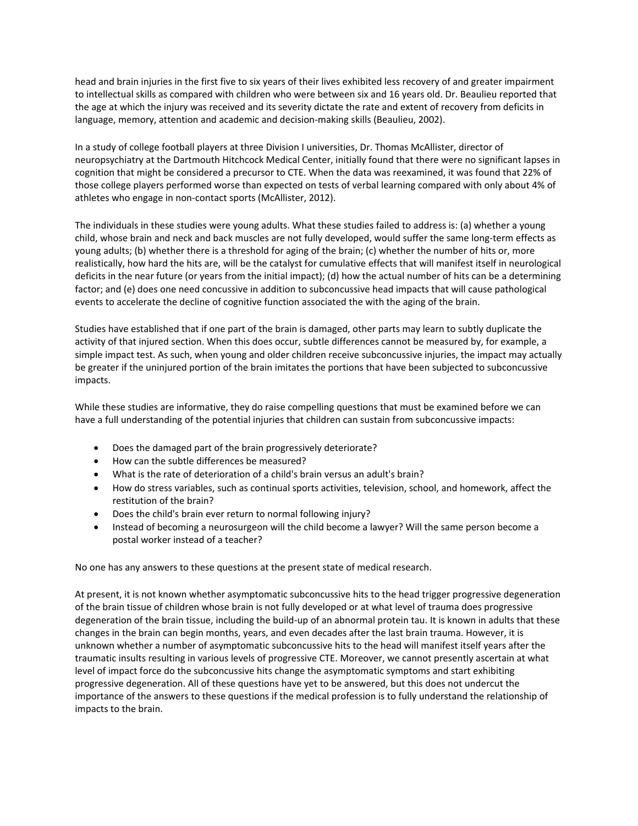head and brain injuries in the first five to six years of their lives exhibited less recovery of and greater impairment to intellectual skills as compared with children who were between six and 16 years old. Dr. Beaulieu reported that the age at which the injury was received and its severity dictate the rate and extent of recovery from deficits in language, memory, attention and academic and decision‐making skills (Beaulieu, 2002).

In a study of college football players at three Division I universities, Dr. Thomas McAllister, director of neuropsychiatry at the Dartmouth Hitchcock Medical Center, initially found that there were no significant lapses in cognition that might be considered a precursor to CTE. When the data was reexamined, it was found that 22% of those college players performed worse than expected on tests of verbal learning compared with only about 4% of athletes who engage in non‐contact sports (McAllister, 2012).

The individuals in these studies were young adults. What these studies failed to address is: (a) whether a young child, whose brain and neck and back muscles are not fully developed, would suffer the same long‐term effects as young adults; (b) whether there is a threshold for aging of the brain; (c) whether the number of hits or, more realistically, how hard the hits are, will be the catalyst for cumulative effects that will manifest itself in neurological deficits in the near future (or years from the initial impact); (d) how the actual number of hits can be a determining factor; and (e) does one need concussive in addition to subconcussive head impacts that will cause pathological events to accelerate the decline of cognitive function associated the with the aging of the brain.

Studies have established that if one part of the brain is damaged, other parts may learn to subtly duplicate the activity of that injured section. When this does occur, subtle differences cannot be measured by, for example, a simple impact test. As such, when young and older children receive subconcussive injuries, the impact may actually be greater if the uninjured portion of the brain imitates the portions that have been subjected to subconcussive impacts.

While these studies are informative, they do raise compelling questions that must be examined before we can have a full understanding of the potential injuries that children can sustain from subconcussive impacts:

- Does the damaged part of the brain progressively deteriorate?
- How can the subtle differences be measured?
- What is the rate of deterioration of a child's brain versus an adult's brain?
- How do stress variables, such as continual sports activities, television, school, and homework, affect the restitution of the brain?
- Does the child's brain ever return to normal following injury?
- Instead of becoming a neurosurgeon will the child become a lawyer? Will the same person become a postal worker instead of a teacher?

No one has any answers to these questions at the present state of medical research.

At present, it is not known whether asymptomatic subconcussive hits to the head trigger progressive degeneration of the brain tissue of children whose brain is not fully developed or at what level of trauma does progressive degeneration of the brain tissue, including the build-up of an abnormal protein tau. It is known in adults that these changes in the brain can begin months, years, and even decades after the last brain trauma. However, it is unknown whether a number of asymptomatic subconcussive hits to the head will manifest itself years after the traumatic insults resulting in various levels of progressive CTE. Moreover, we cannot presently ascertain at what level of impact force do the subconcussive hits change the asymptomatic symptoms and start exhibiting progressive degeneration. All of these questions have yet to be answered, but this does not undercut the importance of the answers to these questions if the medical profession is to fully understand the relationship of impacts to the brain.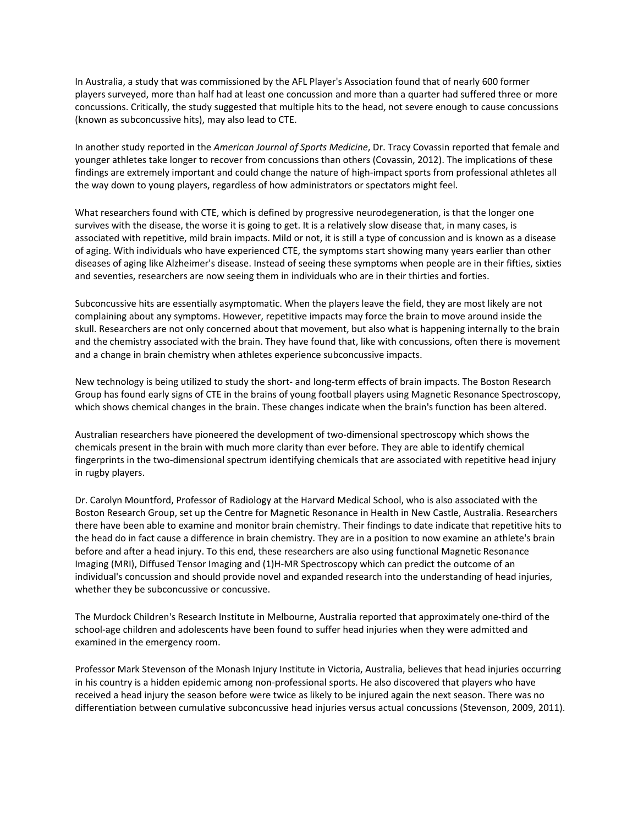In Australia, a study that was commissioned by the AFL Player's Association found that of nearly 600 former players surveyed, more than half had at least one concussion and more than a quarter had suffered three or more concussions. Critically, the study suggested that multiple hits to the head, not severe enough to cause concussions (known as subconcussive hits), may also lead to CTE.

In another study reported in the *American Journal of Sports Medicine*, Dr. Tracy Covassin reported that female and younger athletes take longer to recover from concussions than others (Covassin, 2012). The implications of these findings are extremely important and could change the nature of high-impact sports from professional athletes all the way down to young players, regardless of how administrators or spectators might feel.

What researchers found with CTE, which is defined by progressive neurodegeneration, is that the longer one survives with the disease, the worse it is going to get. It is a relatively slow disease that, in many cases, is associated with repetitive, mild brain impacts. Mild or not, it is still a type of concussion and is known as a disease of aging. With individuals who have experienced CTE, the symptoms start showing many years earlier than other diseases of aging like Alzheimer's disease. Instead of seeing these symptoms when people are in their fifties, sixties and seventies, researchers are now seeing them in individuals who are in their thirties and forties.

Subconcussive hits are essentially asymptomatic. When the players leave the field, they are most likely are not complaining about any symptoms. However, repetitive impacts may force the brain to move around inside the skull. Researchers are not only concerned about that movement, but also what is happening internally to the brain and the chemistry associated with the brain. They have found that, like with concussions, often there is movement and a change in brain chemistry when athletes experience subconcussive impacts.

New technology is being utilized to study the short‐ and long‐term effects of brain impacts. The Boston Research Group has found early signs of CTE in the brains of young football players using Magnetic Resonance Spectroscopy, which shows chemical changes in the brain. These changes indicate when the brain's function has been altered.

Australian researchers have pioneered the development of two‐dimensional spectroscopy which shows the chemicals present in the brain with much more clarity than ever before. They are able to identify chemical fingerprints in the two-dimensional spectrum identifying chemicals that are associated with repetitive head injury in rugby players.

Dr. Carolyn Mountford, Professor of Radiology at the Harvard Medical School, who is also associated with the Boston Research Group, set up the Centre for Magnetic Resonance in Health in New Castle, Australia. Researchers there have been able to examine and monitor brain chemistry. Their findings to date indicate that repetitive hits to the head do in fact cause a difference in brain chemistry. They are in a position to now examine an athlete's brain before and after a head injury. To this end, these researchers are also using functional Magnetic Resonance Imaging (MRI), Diffused Tensor Imaging and (1)H‐MR Spectroscopy which can predict the outcome of an individual's concussion and should provide novel and expanded research into the understanding of head injuries, whether they be subconcussive or concussive.

The Murdock Children's Research Institute in Melbourne, Australia reported that approximately one‐third of the school‐age children and adolescents have been found to suffer head injuries when they were admitted and examined in the emergency room.

Professor Mark Stevenson of the Monash Injury Institute in Victoria, Australia, believes that head injuries occurring in his country is a hidden epidemic among non‐professional sports. He also discovered that players who have received a head injury the season before were twice as likely to be injured again the next season. There was no differentiation between cumulative subconcussive head injuries versus actual concussions (Stevenson, 2009, 2011).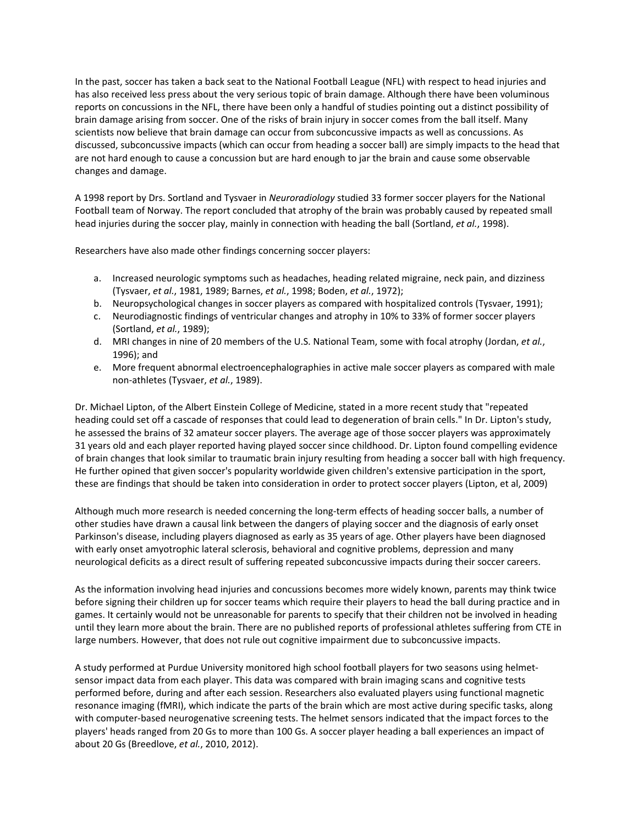In the past, soccer has taken a back seat to the National Football League (NFL) with respect to head injuries and has also received less press about the very serious topic of brain damage. Although there have been voluminous reports on concussions in the NFL, there have been only a handful of studies pointing out a distinct possibility of brain damage arising from soccer. One of the risks of brain injury in soccer comes from the ball itself. Many scientists now believe that brain damage can occur from subconcussive impacts as well as concussions. As discussed, subconcussive impacts (which can occur from heading a soccer ball) are simply impacts to the head that are not hard enough to cause a concussion but are hard enough to jar the brain and cause some observable changes and damage.

A 1998 report by Drs. Sortland and Tysvaer in *Neuroradiology* studied 33 former soccer players for the National Football team of Norway. The report concluded that atrophy of the brain was probably caused by repeated small head injuries during the soccer play, mainly in connection with heading the ball (Sortland, *et al.*, 1998).

Researchers have also made other findings concerning soccer players:

- a. Increased neurologic symptoms such as headaches, heading related migraine, neck pain, and dizziness (Tysvaer, *et al.*, 1981, 1989; Barnes, *et al.*, 1998; Boden, *et al.*, 1972);
- b. Neuropsychological changes in soccer players as compared with hospitalized controls (Tysvaer, 1991);
- c. Neurodiagnostic findings of ventricular changes and atrophy in 10% to 33% of former soccer players (Sortland, *et al.*, 1989);
- d. MRI changes in nine of 20 members of the U.S. National Team, some with focal atrophy (Jordan, *et al.*, 1996); and
- e. More frequent abnormal electroencephalographies in active male soccer players as compared with male non‐athletes (Tysvaer, *et al.*, 1989).

Dr. Michael Lipton, of the Albert Einstein College of Medicine, stated in a more recent study that "repeated heading could set off a cascade of responses that could lead to degeneration of brain cells." In Dr. Lipton's study, he assessed the brains of 32 amateur soccer players. The average age of those soccer players was approximately 31 years old and each player reported having played soccer since childhood. Dr. Lipton found compelling evidence of brain changes that look similar to traumatic brain injury resulting from heading a soccer ball with high frequency. He further opined that given soccer's popularity worldwide given children's extensive participation in the sport, these are findings that should be taken into consideration in order to protect soccer players (Lipton, et al, 2009)

Although much more research is needed concerning the long‐term effects of heading soccer balls, a number of other studies have drawn a causal link between the dangers of playing soccer and the diagnosis of early onset Parkinson's disease, including players diagnosed as early as 35 years of age. Other players have been diagnosed with early onset amyotrophic lateral sclerosis, behavioral and cognitive problems, depression and many neurological deficits as a direct result of suffering repeated subconcussive impacts during their soccer careers.

As the information involving head injuries and concussions becomes more widely known, parents may think twice before signing their children up for soccer teams which require their players to head the ball during practice and in games. It certainly would not be unreasonable for parents to specify that their children not be involved in heading until they learn more about the brain. There are no published reports of professional athletes suffering from CTE in large numbers. However, that does not rule out cognitive impairment due to subconcussive impacts.

A study performed at Purdue University monitored high school football players for two seasons using helmet‐ sensor impact data from each player. This data was compared with brain imaging scans and cognitive tests performed before, during and after each session. Researchers also evaluated players using functional magnetic resonance imaging (fMRI), which indicate the parts of the brain which are most active during specific tasks, along with computer-based neurogenative screening tests. The helmet sensors indicated that the impact forces to the players' heads ranged from 20 Gs to more than 100 Gs. A soccer player heading a ball experiences an impact of about 20 Gs (Breedlove, *et al.*, 2010, 2012).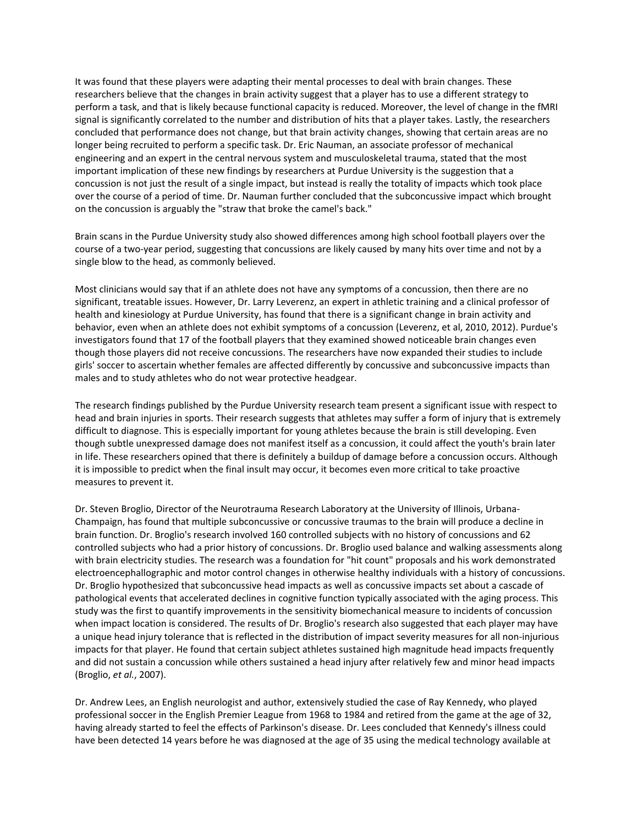It was found that these players were adapting their mental processes to deal with brain changes. These researchers believe that the changes in brain activity suggest that a player has to use a different strategy to perform a task, and that is likely because functional capacity is reduced. Moreover, the level of change in the fMRI signal is significantly correlated to the number and distribution of hits that a player takes. Lastly, the researchers concluded that performance does not change, but that brain activity changes, showing that certain areas are no longer being recruited to perform a specific task. Dr. Eric Nauman, an associate professor of mechanical engineering and an expert in the central nervous system and musculoskeletal trauma, stated that the most important implication of these new findings by researchers at Purdue University is the suggestion that a concussion is not just the result of a single impact, but instead is really the totality of impacts which took place over the course of a period of time. Dr. Nauman further concluded that the subconcussive impact which brought on the concussion is arguably the "straw that broke the camel's back."

Brain scans in the Purdue University study also showed differences among high school football players over the course of a two‐year period, suggesting that concussions are likely caused by many hits over time and not by a single blow to the head, as commonly believed.

Most clinicians would say that if an athlete does not have any symptoms of a concussion, then there are no significant, treatable issues. However, Dr. Larry Leverenz, an expert in athletic training and a clinical professor of health and kinesiology at Purdue University, has found that there is a significant change in brain activity and behavior, even when an athlete does not exhibit symptoms of a concussion (Leverenz, et al, 2010, 2012). Purdue's investigators found that 17 of the football players that they examined showed noticeable brain changes even though those players did not receive concussions. The researchers have now expanded their studies to include girls' soccer to ascertain whether females are affected differently by concussive and subconcussive impacts than males and to study athletes who do not wear protective headgear.

The research findings published by the Purdue University research team present a significant issue with respect to head and brain injuries in sports. Their research suggests that athletes may suffer a form of injury that is extremely difficult to diagnose. This is especially important for young athletes because the brain is still developing. Even though subtle unexpressed damage does not manifest itself as a concussion, it could affect the youth's brain later in life. These researchers opined that there is definitely a buildup of damage before a concussion occurs. Although it is impossible to predict when the final insult may occur, it becomes even more critical to take proactive measures to prevent it.

Dr. Steven Broglio, Director of the Neurotrauma Research Laboratory at the University of Illinois, Urbana-Champaign, has found that multiple subconcussive or concussive traumas to the brain will produce a decline in brain function. Dr. Broglio's research involved 160 controlled subjects with no history of concussions and 62 controlled subjects who had a prior history of concussions. Dr. Broglio used balance and walking assessments along with brain electricity studies. The research was a foundation for "hit count" proposals and his work demonstrated electroencephallographic and motor control changes in otherwise healthy individuals with a history of concussions. Dr. Broglio hypothesized that subconcussive head impacts as well as concussive impacts set about a cascade of pathological events that accelerated declines in cognitive function typically associated with the aging process. This study was the first to quantify improvements in the sensitivity biomechanical measure to incidents of concussion when impact location is considered. The results of Dr. Broglio's research also suggested that each player may have a unique head injury tolerance that is reflected in the distribution of impact severity measures for all non-injurious impacts for that player. He found that certain subject athletes sustained high magnitude head impacts frequently and did not sustain a concussion while others sustained a head injury after relatively few and minor head impacts (Broglio, *et al.*, 2007).

Dr. Andrew Lees, an English neurologist and author, extensively studied the case of Ray Kennedy, who played professional soccer in the English Premier League from 1968 to 1984 and retired from the game at the age of 32, having already started to feel the effects of Parkinson's disease. Dr. Lees concluded that Kennedy's illness could have been detected 14 years before he was diagnosed at the age of 35 using the medical technology available at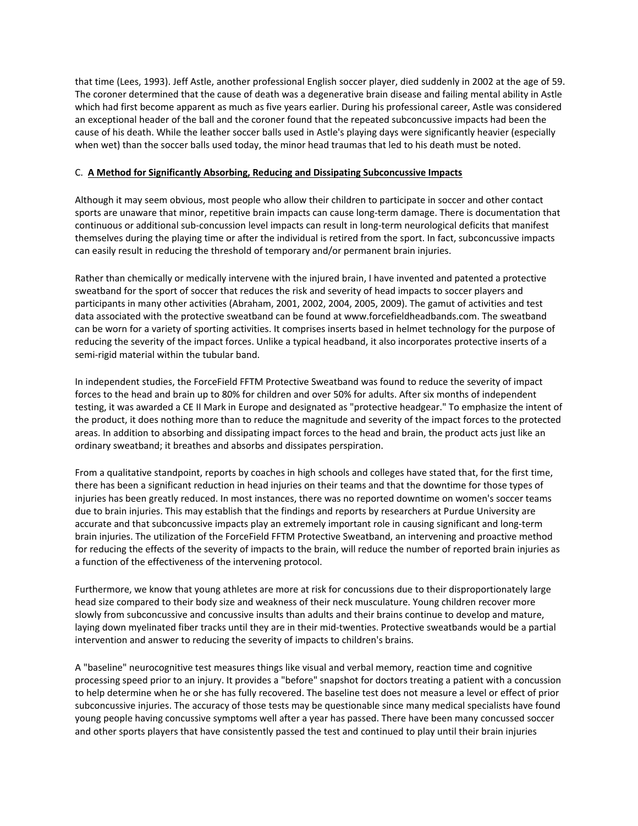that time (Lees, 1993). Jeff Astle, another professional English soccer player, died suddenly in 2002 at the age of 59. The coroner determined that the cause of death was a degenerative brain disease and failing mental ability in Astle which had first become apparent as much as five years earlier. During his professional career, Astle was considered an exceptional header of the ball and the coroner found that the repeated subconcussive impacts had been the cause of his death. While the leather soccer balls used in Astle's playing days were significantly heavier (especially when wet) than the soccer balls used today, the minor head traumas that led to his death must be noted.

#### C. **A Method for Significantly Absorbing, Reducing and Dissipating Subconcussive Impacts**

Although it may seem obvious, most people who allow their children to participate in soccer and other contact sports are unaware that minor, repetitive brain impacts can cause long-term damage. There is documentation that continuous or additional sub‐concussion level impacts can result in long‐term neurological deficits that manifest themselves during the playing time or after the individual is retired from the sport. In fact, subconcussive impacts can easily result in reducing the threshold of temporary and/or permanent brain injuries.

Rather than chemically or medically intervene with the injured brain, I have invented and patented a protective sweatband for the sport of soccer that reduces the risk and severity of head impacts to soccer players and participants in many other activities (Abraham, 2001, 2002, 2004, 2005, 2009). The gamut of activities and test data associated with the protective sweatband can be found at www.forcefieldheadbands.com. The sweatband can be worn for a variety of sporting activities. It comprises inserts based in helmet technology for the purpose of reducing the severity of the impact forces. Unlike a typical headband, it also incorporates protective inserts of a semi-rigid material within the tubular band.

In independent studies, the ForceField FFTM Protective Sweatband was found to reduce the severity of impact forces to the head and brain up to 80% for children and over 50% for adults. After six months of independent testing, it was awarded a CE II Mark in Europe and designated as "protective headgear." To emphasize the intent of the product, it does nothing more than to reduce the magnitude and severity of the impact forces to the protected areas. In addition to absorbing and dissipating impact forces to the head and brain, the product acts just like an ordinary sweatband; it breathes and absorbs and dissipates perspiration.

From a qualitative standpoint, reports by coaches in high schools and colleges have stated that, for the first time, there has been a significant reduction in head injuries on their teams and that the downtime for those types of injuries has been greatly reduced. In most instances, there was no reported downtime on women's soccer teams due to brain injuries. This may establish that the findings and reports by researchers at Purdue University are accurate and that subconcussive impacts play an extremely important role in causing significant and long-term brain injuries. The utilization of the ForceField FFTM Protective Sweatband, an intervening and proactive method for reducing the effects of the severity of impacts to the brain, will reduce the number of reported brain injuries as a function of the effectiveness of the intervening protocol.

Furthermore, we know that young athletes are more at risk for concussions due to their disproportionately large head size compared to their body size and weakness of their neck musculature. Young children recover more slowly from subconcussive and concussive insults than adults and their brains continue to develop and mature, laying down myelinated fiber tracks until they are in their mid-twenties. Protective sweatbands would be a partial intervention and answer to reducing the severity of impacts to children's brains.

A "baseline" neurocognitive test measures things like visual and verbal memory, reaction time and cognitive processing speed prior to an injury. It provides a "before" snapshot for doctors treating a patient with a concussion to help determine when he or she has fully recovered. The baseline test does not measure a level or effect of prior subconcussive injuries. The accuracy of those tests may be questionable since many medical specialists have found young people having concussive symptoms well after a year has passed. There have been many concussed soccer and other sports players that have consistently passed the test and continued to play until their brain injuries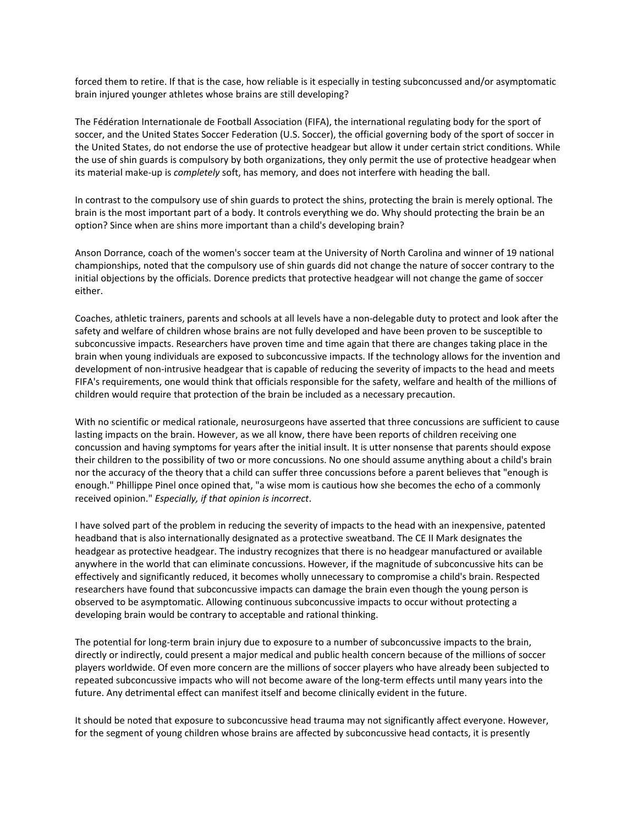forced them to retire. If that is the case, how reliable is it especially in testing subconcussed and/or asymptomatic brain injured younger athletes whose brains are still developing?

The Fédération Internationale de Football Association (FIFA), the international regulating body for the sport of soccer, and the United States Soccer Federation (U.S. Soccer), the official governing body of the sport of soccer in the United States, do not endorse the use of protective headgear but allow it under certain strict conditions. While the use of shin guards is compulsory by both organizations, they only permit the use of protective headgear when its material make‐up is *completely* soft, has memory, and does not interfere with heading the ball.

In contrast to the compulsory use of shin guards to protect the shins, protecting the brain is merely optional. The brain is the most important part of a body. It controls everything we do. Why should protecting the brain be an option? Since when are shins more important than a child's developing brain?

Anson Dorrance, coach of the women's soccer team at the University of North Carolina and winner of 19 national championships, noted that the compulsory use of shin guards did not change the nature of soccer contrary to the initial objections by the officials. Dorence predicts that protective headgear will not change the game of soccer either.

Coaches, athletic trainers, parents and schools at all levels have a non‐delegable duty to protect and look after the safety and welfare of children whose brains are not fully developed and have been proven to be susceptible to subconcussive impacts. Researchers have proven time and time again that there are changes taking place in the brain when young individuals are exposed to subconcussive impacts. If the technology allows for the invention and development of non‐intrusive headgear that is capable of reducing the severity of impacts to the head and meets FIFA's requirements, one would think that officials responsible for the safety, welfare and health of the millions of children would require that protection of the brain be included as a necessary precaution.

With no scientific or medical rationale, neurosurgeons have asserted that three concussions are sufficient to cause lasting impacts on the brain. However, as we all know, there have been reports of children receiving one concussion and having symptoms for years after the initial insult. It is utter nonsense that parents should expose their children to the possibility of two or more concussions. No one should assume anything about a child's brain nor the accuracy of the theory that a child can suffer three concussions before a parent believes that "enough is enough." Phillippe Pinel once opined that, "a wise mom is cautious how she becomes the echo of a commonly received opinion." *Especially, if that opinion is incorrect*.

I have solved part of the problem in reducing the severity of impacts to the head with an inexpensive, patented headband that is also internationally designated as a protective sweatband. The CE II Mark designates the headgear as protective headgear. The industry recognizes that there is no headgear manufactured or available anywhere in the world that can eliminate concussions. However, if the magnitude of subconcussive hits can be effectively and significantly reduced, it becomes wholly unnecessary to compromise a child's brain. Respected researchers have found that subconcussive impacts can damage the brain even though the young person is observed to be asymptomatic. Allowing continuous subconcussive impacts to occur without protecting a developing brain would be contrary to acceptable and rational thinking.

The potential for long-term brain injury due to exposure to a number of subconcussive impacts to the brain, directly or indirectly, could present a major medical and public health concern because of the millions of soccer players worldwide. Of even more concern are the millions of soccer players who have already been subjected to repeated subconcussive impacts who will not become aware of the long‐term effects until many years into the future. Any detrimental effect can manifest itself and become clinically evident in the future.

It should be noted that exposure to subconcussive head trauma may not significantly affect everyone. However, for the segment of young children whose brains are affected by subconcussive head contacts, it is presently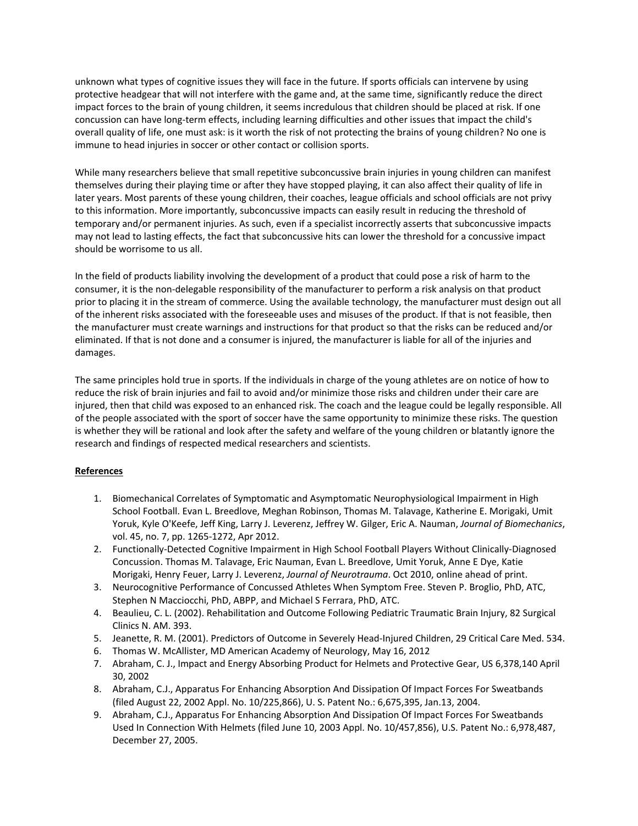unknown what types of cognitive issues they will face in the future. If sports officials can intervene by using protective headgear that will not interfere with the game and, at the same time, significantly reduce the direct impact forces to the brain of young children, it seems incredulous that children should be placed at risk. If one concussion can have long‐term effects, including learning difficulties and other issues that impact the child's overall quality of life, one must ask: is it worth the risk of not protecting the brains of young children? No one is immune to head injuries in soccer or other contact or collision sports.

While many researchers believe that small repetitive subconcussive brain injuries in young children can manifest themselves during their playing time or after they have stopped playing, it can also affect their quality of life in later years. Most parents of these young children, their coaches, league officials and school officials are not privy to this information. More importantly, subconcussive impacts can easily result in reducing the threshold of temporary and/or permanent injuries. As such, even if a specialist incorrectly asserts that subconcussive impacts may not lead to lasting effects, the fact that subconcussive hits can lower the threshold for a concussive impact should be worrisome to us all.

In the field of products liability involving the development of a product that could pose a risk of harm to the consumer, it is the non‐delegable responsibility of the manufacturer to perform a risk analysis on that product prior to placing it in the stream of commerce. Using the available technology, the manufacturer must design out all of the inherent risks associated with the foreseeable uses and misuses of the product. If that is not feasible, then the manufacturer must create warnings and instructions for that product so that the risks can be reduced and/or eliminated. If that is not done and a consumer is injured, the manufacturer is liable for all of the injuries and damages.

The same principles hold true in sports. If the individuals in charge of the young athletes are on notice of how to reduce the risk of brain injuries and fail to avoid and/or minimize those risks and children under their care are injured, then that child was exposed to an enhanced risk. The coach and the league could be legally responsible. All of the people associated with the sport of soccer have the same opportunity to minimize these risks. The question is whether they will be rational and look after the safety and welfare of the young children or blatantly ignore the research and findings of respected medical researchers and scientists.

## **References**

- 1. Biomechanical Correlates of Symptomatic and Asymptomatic Neurophysiological Impairment in High School Football. Evan L. Breedlove, Meghan Robinson, Thomas M. Talavage, Katherine E. Morigaki, Umit Yoruk, Kyle O'Keefe, Jeff King, Larry J. Leverenz, Jeffrey W. Gilger, Eric A. Nauman, *Journal of Biomechanics*, vol. 45, no. 7, pp. 1265‐1272, Apr 2012.
- 2. Functionally‐Detected Cognitive Impairment in High School Football Players Without Clinically‐Diagnosed Concussion. Thomas M. Talavage, Eric Nauman, Evan L. Breedlove, Umit Yoruk, Anne E Dye, Katie Morigaki, Henry Feuer, Larry J. Leverenz, *Journal of Neurotrauma*. Oct 2010, online ahead of print.
- 3. Neurocognitive Performance of Concussed Athletes When Symptom Free. Steven P. Broglio, PhD, ATC, Stephen N Macciocchi, PhD, ABPP, and Michael S Ferrara, PhD, ATC.
- 4. Beaulieu, C. L. (2002). Rehabilitation and Outcome Following Pediatric Traumatic Brain Injury, 82 Surgical Clinics N. AM. 393.
- 5. Jeanette, R. M. (2001). Predictors of Outcome in Severely Head‐Injured Children, 29 Critical Care Med. 534.
- 6. Thomas W. McAllister, MD American Academy of Neurology, May 16, 2012
- 7. Abraham, C. J., Impact and Energy Absorbing Product for Helmets and Protective Gear, US 6,378,140 April 30, 2002
- 8. Abraham, C.J., Apparatus For Enhancing Absorption And Dissipation Of Impact Forces For Sweatbands (filed August 22, 2002 Appl. No. 10/225,866), U. S. Patent No.: 6,675,395, Jan.13, 2004.
- 9. Abraham, C.J., Apparatus For Enhancing Absorption And Dissipation Of Impact Forces For Sweatbands Used In Connection With Helmets (filed June 10, 2003 Appl. No. 10/457,856), U.S. Patent No.: 6,978,487, December 27, 2005.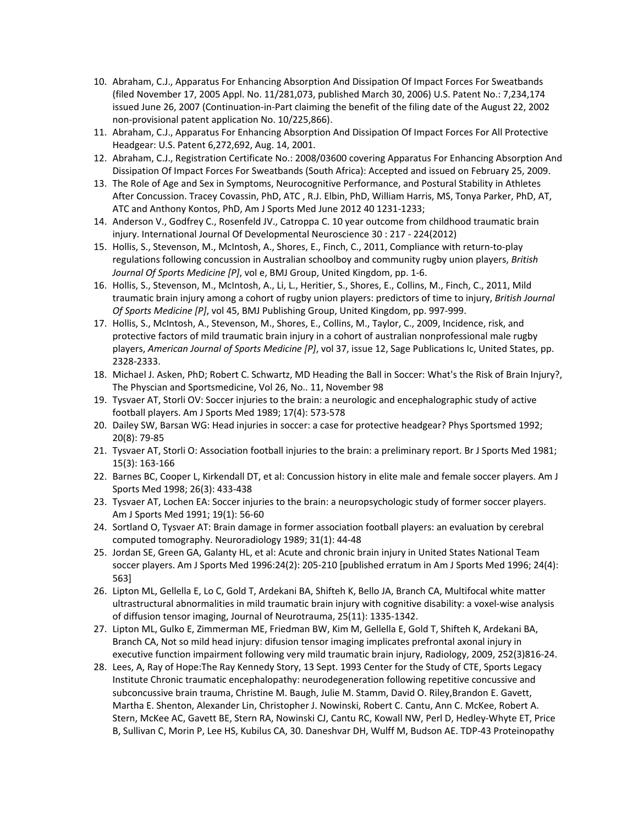- 10. Abraham, C.J., Apparatus For Enhancing Absorption And Dissipation Of Impact Forces For Sweatbands (filed November 17, 2005 Appl. No. 11/281,073, published March 30, 2006) U.S. Patent No.: 7,234,174 issued June 26, 2007 (Continuation‐in‐Part claiming the benefit of the filing date of the August 22, 2002 non‐provisional patent application No. 10/225,866).
- 11. Abraham, C.J., Apparatus For Enhancing Absorption And Dissipation Of Impact Forces For All Protective Headgear: U.S. Patent 6,272,692, Aug. 14, 2001.
- 12. Abraham, C.J., Registration Certificate No.: 2008/03600 covering Apparatus For Enhancing Absorption And Dissipation Of Impact Forces For Sweatbands (South Africa): Accepted and issued on February 25, 2009.
- 13. The Role of Age and Sex in Symptoms, Neurocognitive Performance, and Postural Stability in Athletes After Concussion. Tracey Covassin, PhD, ATC , R.J. Elbin, PhD, William Harris, MS, Tonya Parker, PhD, AT, ATC and Anthony Kontos, PhD, Am J Sports Med June 2012 40 1231‐1233;
- 14. Anderson V., Godfrey C., Rosenfeld JV., Catroppa C. 10 year outcome from childhood traumatic brain injury. International Journal Of Developmental Neuroscience 30 : 217 ‐ 224(2012)
- 15. Hollis, S., Stevenson, M., McIntosh, A., Shores, E., Finch, C., 2011, Compliance with return‐to‐play regulations following concussion in Australian schoolboy and community rugby union players, *British Journal Of Sports Medicine [P]*, vol e, BMJ Group, United Kingdom, pp. 1‐6.
- 16. Hollis, S., Stevenson, M., McIntosh, A., Li, L., Heritier, S., Shores, E., Collins, M., Finch, C., 2011, Mild traumatic brain injury among a cohort of rugby union players: predictors of time to injury, *British Journal Of Sports Medicine [P]*, vol 45, BMJ Publishing Group, United Kingdom, pp. 997‐999.
- 17. Hollis, S., McIntosh, A., Stevenson, M., Shores, E., Collins, M., Taylor, C., 2009, Incidence, risk, and protective factors of mild traumatic brain injury in a cohort of australian nonprofessional male rugby players, *American Journal of Sports Medicine [P]*, vol 37, issue 12, Sage Publications Ic, United States, pp. 2328‐2333.
- 18. Michael J. Asken, PhD; Robert C. Schwartz, MD Heading the Ball in Soccer: What's the Risk of Brain Injury?, The Physcian and Sportsmedicine, Vol 26, No.. 11, November 98
- 19. Tysvaer AT, Storli OV: Soccer injuries to the brain: a neurologic and encephalographic study of active football players. Am J Sports Med 1989; 17(4): 573‐578
- 20. Dailey SW, Barsan WG: Head injuries in soccer: a case for protective headgear? Phys Sportsmed 1992; 20(8): 79‐85
- 21. Tysvaer AT, Storli O: Association football injuries to the brain: a preliminary report. Br J Sports Med 1981; 15(3): 163‐166
- 22. Barnes BC, Cooper L, Kirkendall DT, et al: Concussion history in elite male and female soccer players. Am J Sports Med 1998; 26(3): 433‐438
- 23. Tysvaer AT, Lochen EA: Soccer injuries to the brain: a neuropsychologic study of former soccer players. Am J Sports Med 1991; 19(1): 56‐60
- 24. Sortland O, Tysvaer AT: Brain damage in former association football players: an evaluation by cerebral computed tomography. Neuroradiology 1989; 31(1): 44‐48
- 25. Jordan SE, Green GA, Galanty HL, et al: Acute and chronic brain injury in United States National Team soccer players. Am J Sports Med 1996:24(2): 205‐210 [published erratum in Am J Sports Med 1996; 24(4): 563]
- 26. Lipton ML, Gellella E, Lo C, Gold T, Ardekani BA, Shifteh K, Bello JA, Branch CA, Multifocal white matter ultrastructural abnormalities in mild traumatic brain injury with cognitive disability: a voxel‐wise analysis of diffusion tensor imaging, Journal of Neurotrauma, 25(11): 1335‐1342.
- 27. Lipton ML, Gulko E, Zimmerman ME, Friedman BW, Kim M, Gellella E, Gold T, Shifteh K, Ardekani BA, Branch CA, Not so mild head injury: difusion tensor imaging implicates prefrontal axonal injury in executive function impairment following very mild traumatic brain injury, Radiology, 2009, 252(3)816‐24.
- 28. Lees, A, Ray of Hope:The Ray Kennedy Story, 13 Sept. 1993 Center for the Study of CTE, Sports Legacy Institute Chronic traumatic encephalopathy: neurodegeneration following repetitive concussive and subconcussive brain trauma, Christine M. Baugh, Julie M. Stamm, David O. Riley,Brandon E. Gavett, Martha E. Shenton, Alexander Lin, Christopher J. Nowinski, Robert C. Cantu, Ann C. McKee, Robert A. Stern, McKee AC, Gavett BE, Stern RA, Nowinski CJ, Cantu RC, Kowall NW, Perl D, Hedley‐Whyte ET, Price B, Sullivan C, Morin P, Lee HS, Kubilus CA, 30. Daneshvar DH, Wulff M, Budson AE. TDP‐43 Proteinopathy